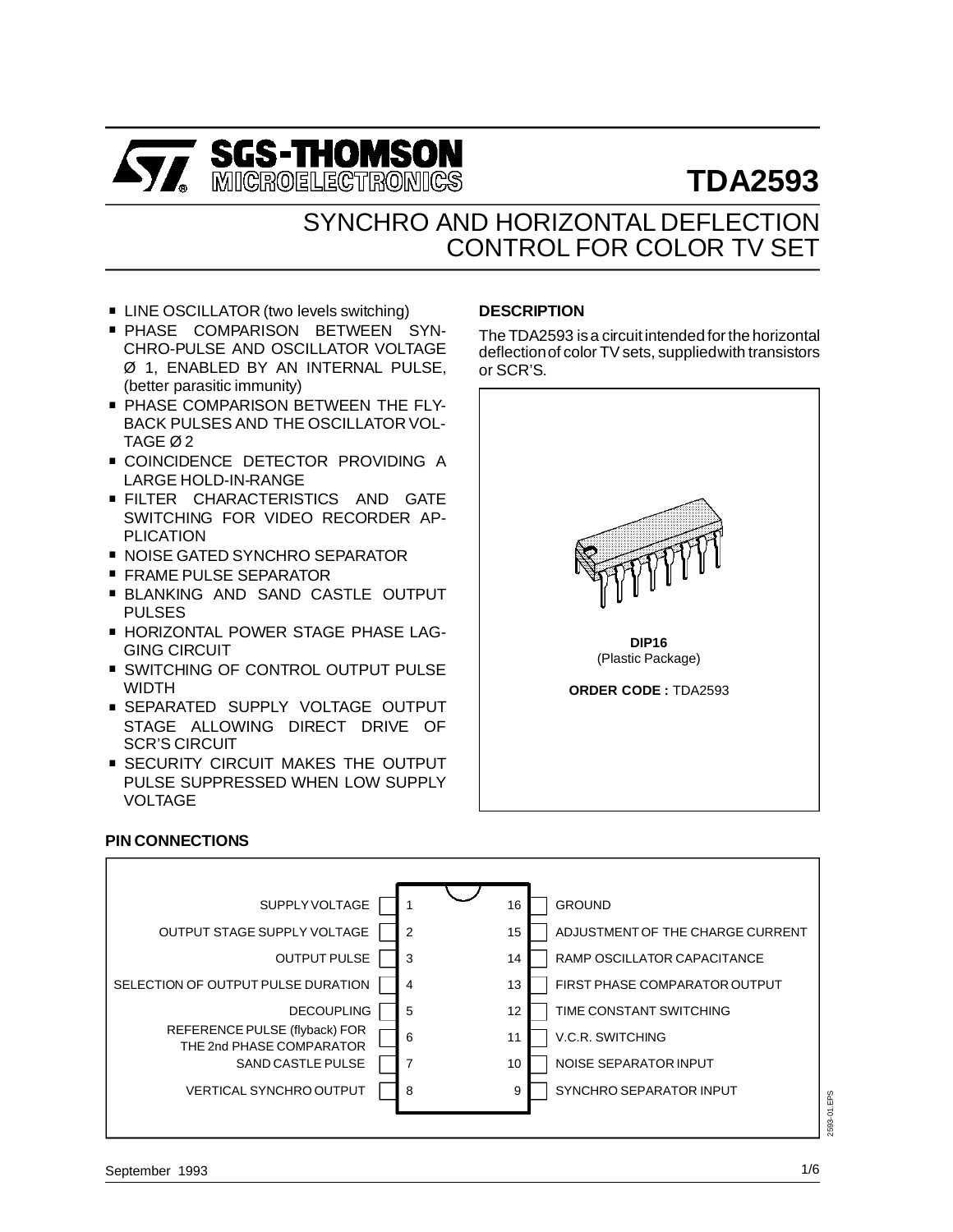

# **TDA2593**

## SYNCHRO AND HORIZONTAL DEFLECTION CONTROL FOR COLOR TV SET

- LINE OSCILLATOR (two levels switching)
- **PHASE COMPARISON BETWEEN SYN-**CHRO-PULSE AND OSCILLATOR VOLTAGE Ø 1, ENABLED BY AN INTERNAL PULSE, (better parasitic immunity)
- **PHASE COMPARISON BETWEEN THE FLY-**BACK PULSES AND THE OSCILLATOR VOL-TAGE Ø 2
- **COINCIDENCE DETECTOR PROVIDING A** LARGE HOLD-IN-RANGE
- **FILTER CHARACTERISTICS AND GATE** SWITCHING FOR VIDEO RECORDER AP-PLICATION SWITCHING FOR VIDEO RECORDER<br>PLICATION<br>■ NOISE GATED SYNCHRO SEPARATOR
- 
- PLICATION<br>■ NOISE GATED SYNCHRO SE<br>■ FRAME PULSE SEPARATOR
- FRAME PULSE SEPARATOR<br>■ BLANKING AND SAND CASTLE OUTPUT PULSES
- **E HORIZONTAL POWER STAGE PHASE LAG-**GING CIRCUIT
- **SWITCHING OF CONTROL OUTPUT PULSE** WIDTH
- **SEPARATED SUPPLY VOLTAGE OUTPUT** STAGE ALLOWING DIRECT DRIVE OF SCR'S CIRCUIT
- **EXECURITY CIRCUIT MAKES THE OUTPUT** PULSE SUPPRESSED WHEN LOW SUPPLY VOLTAGE

#### **PIN CONNECTIONS**



## **DESCRIPTION**

The TDA2593 isa circuit intended for the horizontal deflectionof color TV sets, suppliedwith transistors or SCR'S.

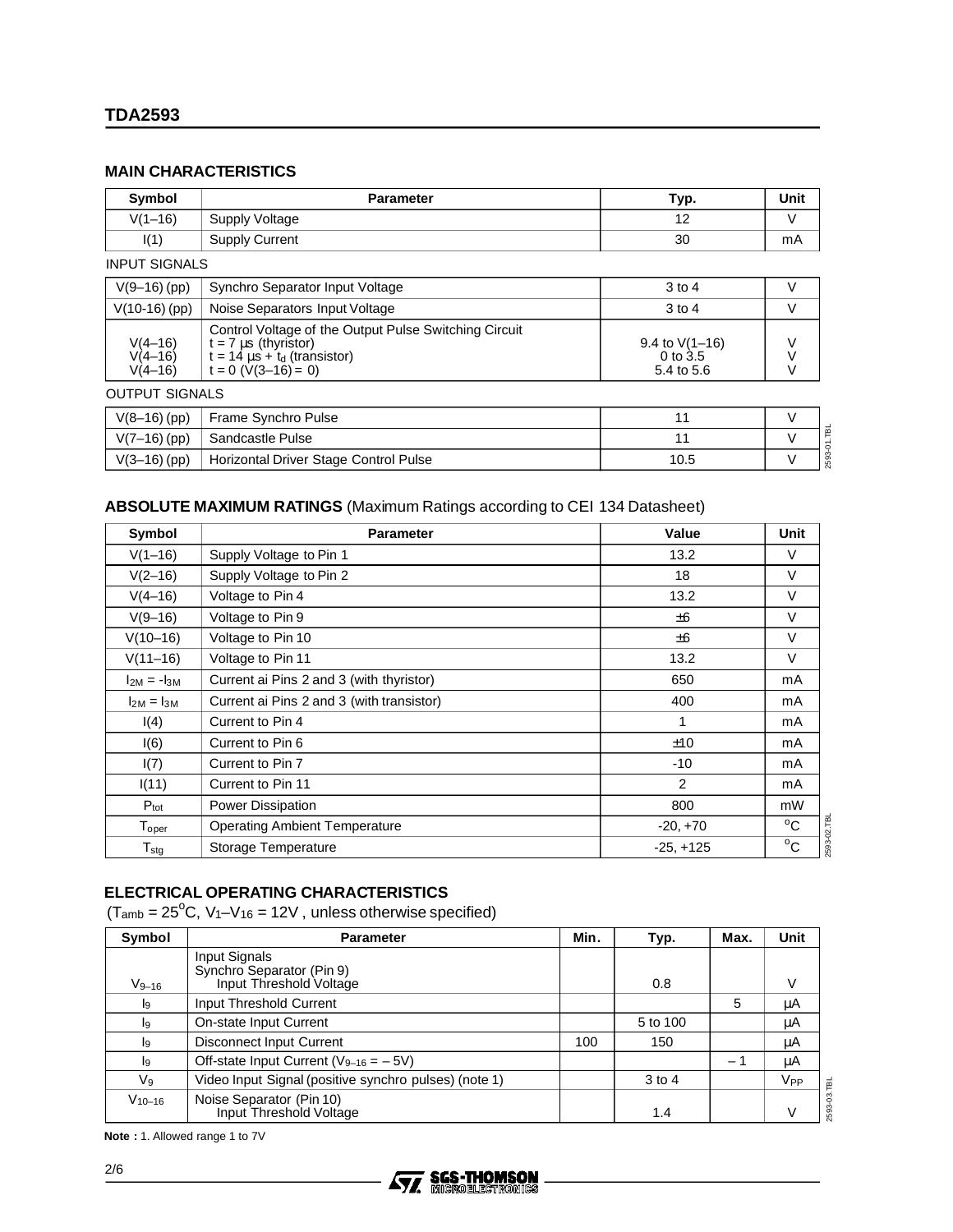### **MAIN CHARACTERISTICS**

| Symbol                                | <b>Parameter</b>                                                                                                                                     | Typ.                                           | <b>Unit</b>      |
|---------------------------------------|------------------------------------------------------------------------------------------------------------------------------------------------------|------------------------------------------------|------------------|
| $V(1-16)$                             | Supply Voltage                                                                                                                                       | 12                                             | V                |
| I(1)                                  | <b>Supply Current</b>                                                                                                                                | 30                                             | mA               |
| <b>INPUT SIGNALS</b>                  |                                                                                                                                                      |                                                |                  |
| $V(9-16)$ (pp)                        | Synchro Separator Input Voltage                                                                                                                      | $3$ to 4                                       | V                |
| $V(10-16)$ (pp)                       | Noise Separators Input Voltage                                                                                                                       | $3$ to 4                                       | V                |
| $V(4-16)$<br>$V(4-16)$<br>$V(4 - 16)$ | Control Voltage of the Output Pulse Switching Circuit<br>$t = 7 \mu s$ (thyristor)<br>$t = 14 \mu s + t_d$ (transistor)<br>$t = 0$ ( $V(3-16) = 0$ ) | 9.4 to $V(1-16)$<br>$0$ to $3.5$<br>5.4 to 5.6 | ٧<br>$\vee$<br>V |
| <b>OUTPUT SIGNALS</b>                 |                                                                                                                                                      |                                                |                  |
| $V(8-16)$ (pp)                        | Frame Synchro Pulse                                                                                                                                  | 11                                             | V                |
| $V(7-16)$ (pp)                        | Sandcastle Pulse                                                                                                                                     | 11                                             | $\vee$           |
| $V(3-16)$ (pp)                        | Horizontal Driver Stage Control Pulse                                                                                                                | 10.5                                           | V                |

## **ABSOLUTE MAXIMUM RATINGS** (Maximum Ratings according to CEI 134 Datasheet)

| Symbol                       | <b>Parameter</b>                          | Value       |                             |  |
|------------------------------|-------------------------------------------|-------------|-----------------------------|--|
| $V(1-16)$                    | Supply Voltage to Pin 1                   | 13.2        | V                           |  |
| $V(2-16)$                    | Supply Voltage to Pin 2                   | 18          | V                           |  |
| $V(4-16)$                    | Voltage to Pin 4                          | 13.2        | V                           |  |
| $V(9-16)$                    | Voltage to Pin 9                          | ±6          | V                           |  |
| $V(10-16)$                   | Voltage to Pin 10                         | ±6          | $\vee$                      |  |
| $V(11-16)$                   | Voltage to Pin 11                         | 13.2        | V                           |  |
| $I_{2M} = -I_{3M}$           | Current ai Pins 2 and 3 (with thyristor)  | 650         | mA                          |  |
| $I2M = I3M$                  | Current ai Pins 2 and 3 (with transistor) | 400         | mA                          |  |
| I(4)                         | Current to Pin 4                          | 1           | mA                          |  |
| I(6)                         | Current to Pin 6                          | ±10         | mA                          |  |
| I(7)                         | Current to Pin 7                          | $-10$       | mA                          |  |
| I(11)                        | Current to Pin 11                         | 2           | mA                          |  |
| $P_{\text{tot}}$             | <b>Power Dissipation</b>                  | 800         | mW                          |  |
| $\mathsf{T}_{\mathsf{oper}}$ | <b>Operating Ambient Temperature</b>      | $-20, +70$  | 2593-02.TBL<br>$^{\circ}$ C |  |
| ${\mathsf T}_{\text{stg}}$   | Storage Temperature                       | $-25, +125$ | $^{\circ}$ C                |  |

## **ELECTRICAL OPERATING CHARACTERISTICS**

 $(T_{amb} = 25^{\circ}C, V_1 - V_{16} = 12V,$  unless otherwise specified)

| Symbol      | <b>Parameter</b>                                      | Min. | Typ.     | Max.              | <b>Unit</b>           |
|-------------|-------------------------------------------------------|------|----------|-------------------|-----------------------|
|             | Input Signals<br>Synchro Separator (Pin 9)            |      |          |                   |                       |
| $V_{9-16}$  | Input Threshold Voltage                               |      | 0.8      |                   |                       |
| l9          | Input Threshold Current                               |      |          | 5                 | μA                    |
| lg.         | On-state Input Current                                |      | 5 to 100 |                   | μA                    |
| l9          | <b>Disconnect Input Current</b>                       | 100  | 150      |                   | μA                    |
| l9          | Off-state Input Current ( $V_{9-16} = -5V$ )          |      |          | $\qquad \qquad -$ | μA                    |
| V9          | Video Input Signal (positive synchro pulses) (note 1) |      | $3$ to 4 |                   | <b>V<sub>PP</sub></b> |
| $V_{10-16}$ | Noise Separator (Pin 10)<br>Input Threshold Voltage   |      | 1.4      |                   |                       |

**Note :** 1. Allowed range 1 to 7V

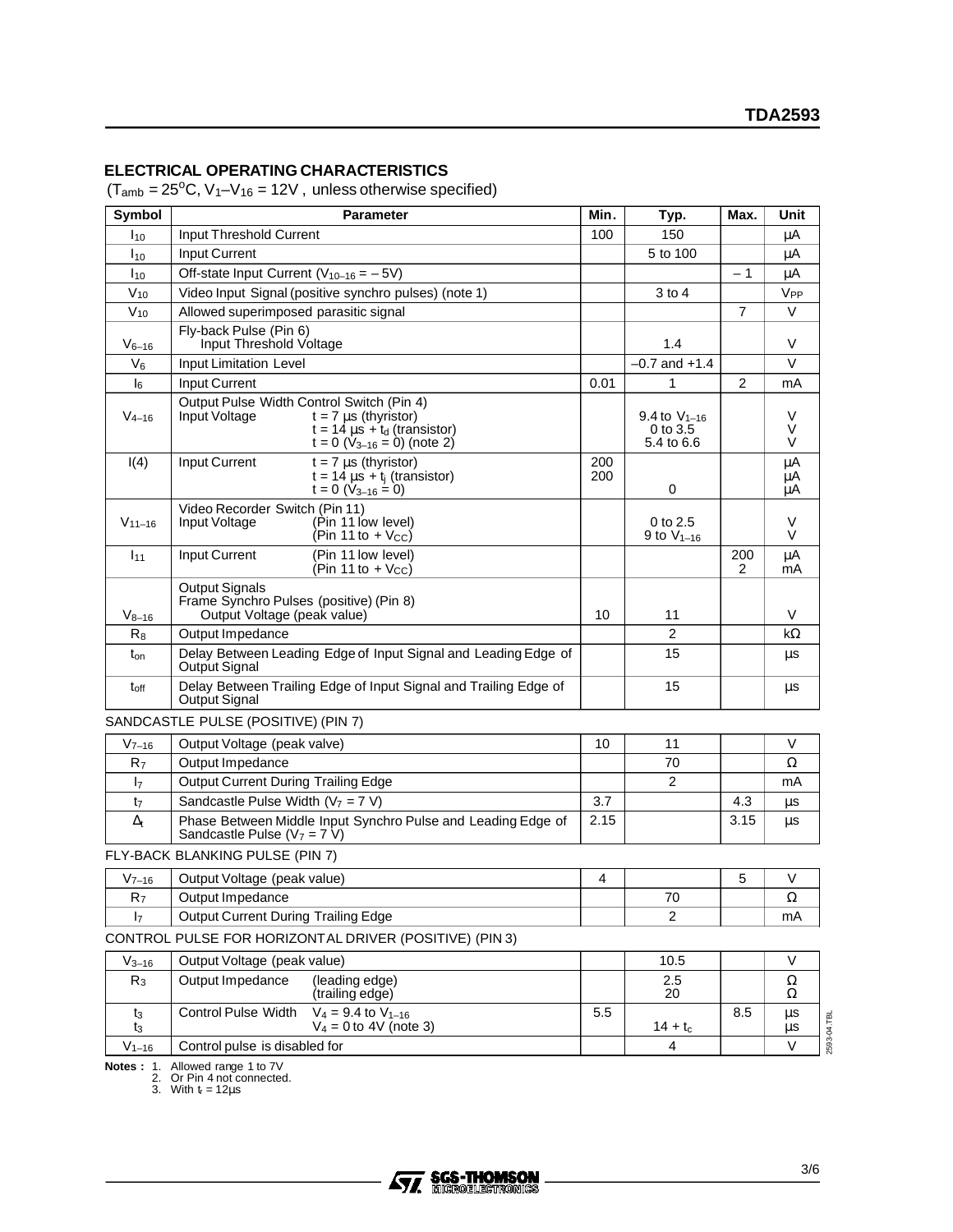#### **ELECTRICAL OPERATING CHARACTERISTICS**

 $(T<sub>amb</sub> = 25<sup>o</sup>C, V<sub>1</sub> - V<sub>16</sub> = 12V, unless otherwise specified)$ 

| Symbol           | <b>Parameter</b>                                                                                                                                                    | Min.       | Typ.                                        | Max.           | Unit                    |
|------------------|---------------------------------------------------------------------------------------------------------------------------------------------------------------------|------------|---------------------------------------------|----------------|-------------------------|
| I <sub>10</sub>  | Input Threshold Current                                                                                                                                             | 100        | 150                                         |                | μA                      |
| $I_{10}$         | Input Current                                                                                                                                                       |            | 5 to 100                                    |                | μA                      |
| $I_{10}$         | Off-state Input Current ( $V_{10-16} = -5V$ )                                                                                                                       |            |                                             | $-1$           | μA                      |
| $V_{10}$         | Video Input Signal (positive synchro pulses) (note 1)                                                                                                               |            | $3$ to $4$                                  |                | V <sub>PP</sub>         |
| $V_{10}$         | Allowed superimposed parasitic signal                                                                                                                               |            |                                             | $\overline{7}$ | $\vee$                  |
| $V_{6-16}$       | Fly-back Pulse (Pin 6)<br>Input Threshold Voltage                                                                                                                   | 1.4        |                                             | V              |                         |
| $V_6$            | <b>Input Limitation Level</b>                                                                                                                                       |            | $-0.7$ and $+1.4$                           |                | V                       |
| $I_6$            | <b>Input Current</b>                                                                                                                                                | 0.01       | 1                                           | $\overline{2}$ | mA                      |
| $V_{4-16}$       | Output Pulse Width Control Switch (Pin 4)<br>Input Voltage<br>$t = 7 \mu s$ (thyristor)<br>$t = 14 \mu s + t_d$ (transistor)<br>$t = 0$ ( $V_{3-16} = 0$ ) (note 2) |            | 9.4 to $V_{1-16}$<br>0 to 3.5<br>5.4 to 6.6 |                | V<br>V<br>V             |
| I(4)             | $t = 7 \mu s$ (thyristor)<br>Input Current<br>$t = 14 \mu s + t$ <sub>i</sub> (transistor)<br>$t = 0$ (V <sub>3-16</sub> = 0)                                       | 200<br>200 | 0                                           |                | $\mu$ A<br>μA<br>μA     |
| $V_{11-16}$      | Video Recorder Switch (Pin 11)<br>Input Voltage<br>(Pin 11 low level)<br>$(Pin 11 to + V_{CC})$                                                                     |            | 0 to 2.5<br>9 to $V_{1-16}$                 |                | V<br>V                  |
| $I_{11}$         | (Pin 11 low level)<br>Input Current<br>(Pin 11 to $+$ V <sub>cc</sub> )                                                                                             |            |                                             | 200<br>2       | μA<br>mA                |
| $V_{8-16}$       | <b>Output Signals</b><br>Frame Synchro Pulses (positive) (Pin 8)<br>Output Voltage (peak value)                                                                     | 10         | 11                                          |                | V                       |
| $R_8$            | Output Impedance                                                                                                                                                    |            | $\overline{c}$                              |                | kΩ                      |
| $t_{on}$         | Delay Between Leading Edge of Input Signal and Leading Edge of<br>Output Signal                                                                                     |            | 15                                          |                | μs                      |
| t <sub>off</sub> | Delay Between Trailing Edge of Input Signal and Trailing Edge of<br>Output Signal                                                                                   |            | 15                                          |                | μs                      |
|                  | SANDCASTLE PULSE (POSITIVE) (PIN 7)                                                                                                                                 |            |                                             |                |                         |
| $V_{7-16}$       | Output Voltage (peak valve)                                                                                                                                         | 10         | 11                                          |                | V                       |
| R <sub>7</sub>   | Output Impedance                                                                                                                                                    |            | 70                                          |                | Ω                       |
| I <sub>7</sub>   | <b>Output Current During Trailing Edge</b>                                                                                                                          |            | $\overline{2}$                              |                | mA                      |
| t <sub>7</sub>   | Sandcastle Pulse Width $(V_7 = 7 V)$                                                                                                                                | 3.7        |                                             | 4.3            | μs                      |
| $\Delta_{t}$     | Phase Between Middle Input Synchro Pulse and Leading Edge of<br>Sandcastle Pulse $(V_7 = 7 V)$                                                                      | 2.15       |                                             | 3.15           | μs                      |
|                  | FLY-BACK BLANKING PULSE (PIN 7)                                                                                                                                     |            |                                             |                |                         |
| $V_{7-16}$       | Output Voltage (peak value)                                                                                                                                         | 4          |                                             | 5              | V                       |
| R7               | Output Impedance                                                                                                                                                    |            | $70\,$                                      |                | $\Omega$                |
| I <sub>7</sub>   | <b>Output Current During Trailing Edge</b>                                                                                                                          |            | 2                                           |                | mA                      |
|                  | CONTROL PULSE FOR HORIZONTAL DRIVER (POSITIVE) (PIN 3)                                                                                                              |            |                                             |                |                         |
| $V_{3-16}$       | Output Voltage (peak value)                                                                                                                                         |            | 10.5                                        |                | V                       |
| $R_3$            | Output Impedance<br>(leading edge)                                                                                                                                  |            | 2.5                                         |                | Ω                       |
|                  | (trailing edge)                                                                                                                                                     |            | 20                                          |                | Ω                       |
| t3<br>t3         | Control Pulse Width<br>$V_4 = 9.4$ to $V_{1-16}$<br>$V_4 = 0$ to 4V (note 3)                                                                                        | 5.5        | $14 + t_c$                                  | 8.5            | μs<br>2593-04.TBL<br>μs |
| $V_{1-16}$       | Control pulse is disabled for                                                                                                                                       |            | 4                                           |                | V                       |

**Notes :** 1. Allowed range 1 to 7V<br>2. Or Pin 4 not connected.<br>3. With t<sub>r</sub> = 12µs

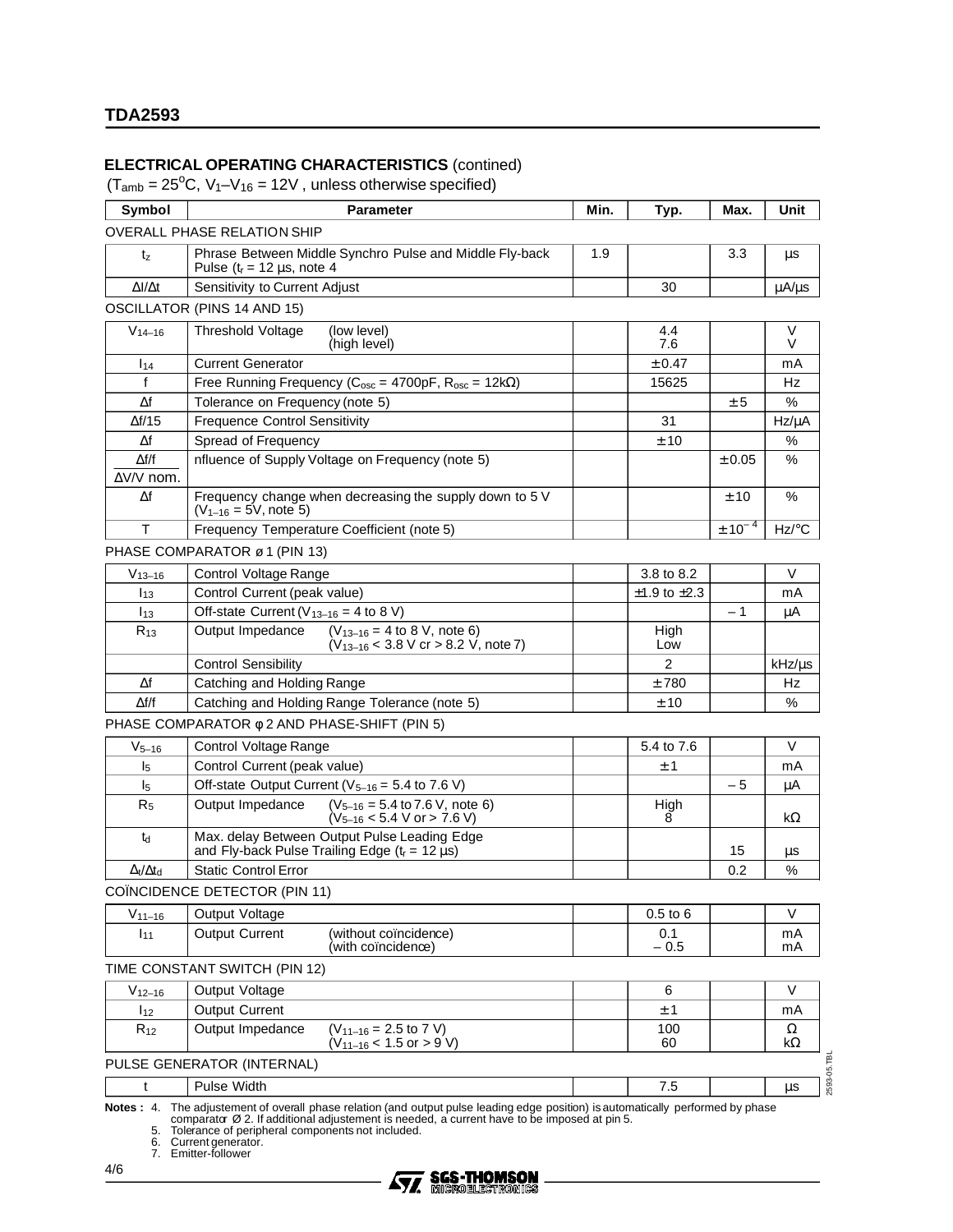## **ELECTRICAL OPERATING CHARACTERISTICS** (contined)

 $(T_{amb} = 25^{\circ}C, V_1 - V_{16} = 12V,$  unless otherwise specified)

| Symbol                            | <b>Parameter</b>                                                                                                      | Min. | Typ.                   | Max.             | Unit              |  |
|-----------------------------------|-----------------------------------------------------------------------------------------------------------------------|------|------------------------|------------------|-------------------|--|
|                                   | OVERALL PHASE RELATION SHIP                                                                                           |      |                        |                  |                   |  |
| tz                                | Phrase Between Middle Synchro Pulse and Middle Fly-back<br>Pulse $(t_r = 12 \mu s, \text{ note } 4$                   | 1.9  |                        | 3.3              | μs                |  |
| $\Delta I/\Delta t$               | Sensitivity to Current Adjust                                                                                         |      | 30                     |                  | $\mu A/\mu s$     |  |
|                                   | OSCILLATOR (PINS 14 AND 15)                                                                                           |      |                        |                  |                   |  |
| $V_{14-16}$                       | <b>Threshold Voltage</b><br>(low level)<br>(high level)                                                               |      | 4.4<br>7.6             |                  | V<br>V            |  |
| 114                               | <b>Current Generator</b>                                                                                              |      | $\pm$ 0.47             |                  | mA                |  |
| f                                 | Free Running Frequency ( $C_{osc} = 4700pF$ , $R_{osc} = 12k\Omega$ )                                                 |      | 15625                  |                  | Hz                |  |
| $\Delta f$                        | Tolerance on Frequency (note 5)                                                                                       |      |                        | $\pm 5$          | %                 |  |
| $\Delta f/15$                     | <b>Frequence Control Sensitivity</b>                                                                                  |      | 31                     |                  | $Hz/\mu A$        |  |
| Δf                                | Spread of Frequency                                                                                                   |      | ± 10                   |                  | %                 |  |
| $\Delta f/f$<br>$\Delta$ V/V nom. | nfluence of Supply Voltage on Frequency (note 5)                                                                      |      |                        | ± 0.05           | %                 |  |
| Δf                                | Frequency change when decreasing the supply down to 5 V<br>$(V_{1-16} = 5V, note 5)$                                  |      |                        | ± 10             | %                 |  |
| T                                 | Frequency Temperature Coefficient (note 5)                                                                            |      |                        | $\pm$ 10 $^{-4}$ | $Hz$ /°C          |  |
|                                   | PHASE COMPARATOR ø 1 (PIN 13)                                                                                         |      |                        |                  |                   |  |
| $V_{13-16}$                       | Control Voltage Range                                                                                                 |      | 3.8 to 8.2             |                  | V                 |  |
| $I_{13}$                          | Control Current (peak value)                                                                                          |      | $\pm$ 1.9 to $\pm$ 2.3 |                  | mA                |  |
| $I_{13}$                          | Off-state Current ( $V_{13-16}$ = 4 to 8 V)                                                                           |      |                        | - 1              | μA                |  |
| $R_{13}$                          | Output Impedance<br>$(V_{13-16} = 4$ to 8 V, note 6)<br>$(V_{13-16}$ < 3.8 V cr > 8.2 V, note 7)                      |      | High<br>Low            |                  |                   |  |
|                                   | <b>Control Sensibility</b>                                                                                            |      | $\overline{2}$         |                  | kHz/µs            |  |
| Δf                                | Catching and Holding Range                                                                                            |      | ±780                   |                  | Hz                |  |
| $\Delta f/f$                      | Catching and Holding Range Tolerance (note 5)                                                                         |      | ± 10                   |                  | $\%$              |  |
|                                   | PHASE COMPARATOR $\phi$ 2 AND PHASE-SHIFT (PIN 5)                                                                     |      |                        |                  |                   |  |
| $V_{5-16}$                        | Control Voltage Range                                                                                                 |      | 5.4 to 7.6             |                  | V                 |  |
| $\mathsf{I}_5$                    | Control Current (peak value)                                                                                          |      | ± 1                    |                  | mA                |  |
| $\mathsf{I}_5$                    | Off-state Output Current ( $V_{5-16}$ = 5.4 to 7.6 V)                                                                 |      |                        | - 5              | μA                |  |
| R <sub>5</sub>                    | Output Impedance<br>$(V_{5-16} = 5.4$ to 7.6 V, note 6)<br>$(V_{5-16} < 5.4 V or > 7.6 V)$                            |      | High<br>8              |                  | kΩ                |  |
| $t_d$                             | Max. delay Between Output Pulse Leading Edge<br>and Fly-back Pulse Trailing Edge ( $t_r = 12 \mu s$ )                 |      |                        | 15               | μs                |  |
| $\Delta t/\Delta t$ d             | <b>Static Control Error</b>                                                                                           |      |                        | 0.2              | %                 |  |
|                                   | COÏNCIDENCE DETECTOR (PIN 11)                                                                                         |      |                        |                  |                   |  |
| $V_{11-16}$                       | Output Voltage                                                                                                        |      | $0.5$ to $6$           |                  | V                 |  |
| 111                               | <b>Output Current</b><br>(without coïncidence)<br>(with coïncidenœ)                                                   |      | 0.1<br>$-0.5$          |                  | mA<br>mA          |  |
|                                   | TIME CONSTANT SWITCH (PIN 12)                                                                                         |      |                        |                  |                   |  |
| $V_{12-16}$                       | Output Voltage                                                                                                        |      | 6                      |                  | V                 |  |
| I <sub>12</sub>                   | <b>Output Current</b>                                                                                                 |      | ± 1                    |                  | mA                |  |
| $R_{12}$                          | Output Impedance<br>$(V_{11-16} = 2.5$ to 7 V)<br>100<br>$(V_{11-16}$ < 1.5 or > 9 V)<br>60                           |      |                        |                  |                   |  |
|                                   | PULSE GENERATOR (INTERNAL)                                                                                            |      |                        |                  |                   |  |
| t                                 | Pulse Width                                                                                                           |      | 7.5                    |                  | 2593-05.TBL<br>μs |  |
| Mation: A                         | The adjustment of overall phase relation (and output pulse loading adge position) is outprotically performed by phase |      |                        |                  |                   |  |

Notes: 4. The adjustement of overall phase relation (and output pulse leading edge position) is automatically performed by phase<br>comparator Ø 2. If additional adjustement is needed, a current have to be imposed at pin 5.<br>5

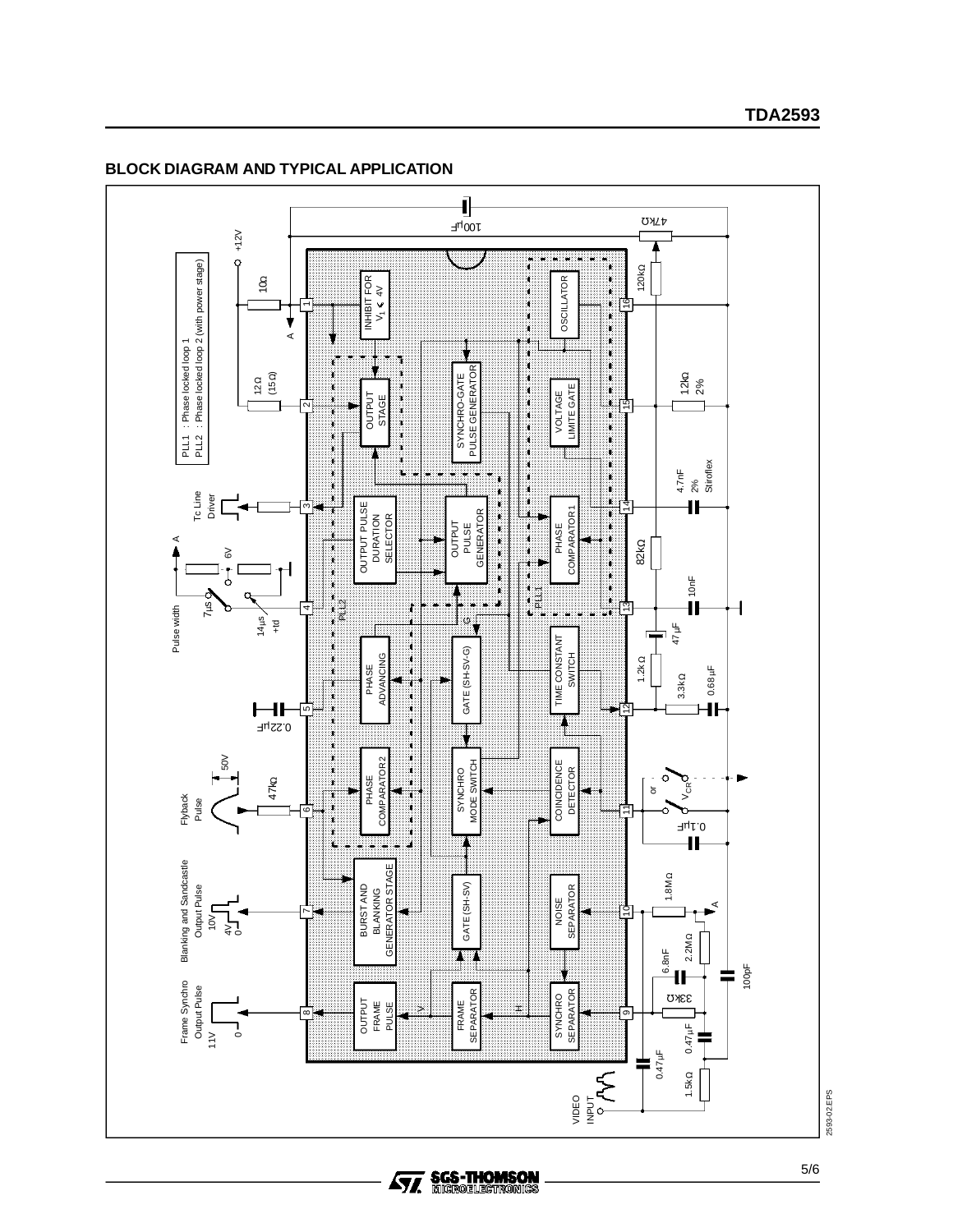

#### **BLOCK DIAGRAM AND TYPICAL APPLICATION**